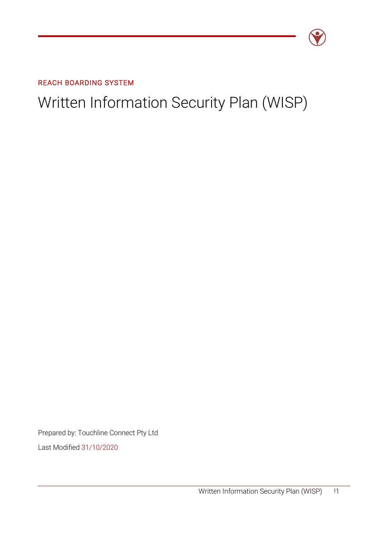

REACH BOARDING SYSTEM

# Written Information Security Plan (WISP)

Prepared by: Touchline Connect Pty Ltd

Last Modified 31/10/2020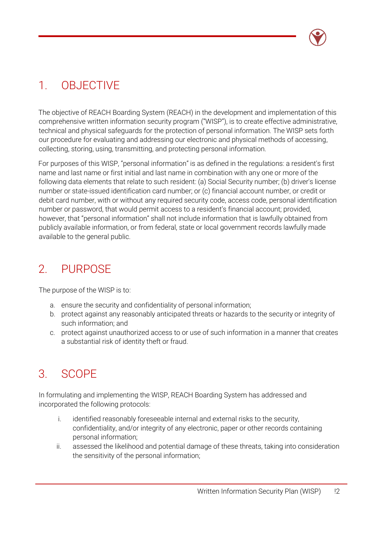

## 1. OBJECTIVE

The objective of REACH Boarding System (REACH) in the development and implementation of this comprehensive written information security program ("WISP"), is to create effective administrative, technical and physical safeguards for the protection of personal information. The WISP sets forth our procedure for evaluating and addressing our electronic and physical methods of accessing, collecting, storing, using, transmitting, and protecting personal information.

For purposes of this WISP, "personal information" is as defined in the regulations: a resident's first name and last name or first initial and last name in combination with any one or more of the following data elements that relate to such resident: (a) Social Security number; (b) driver's license number or state-issued identification card number; or (c) financial account number, or credit or debit card number, with or without any required security code, access code, personal identification number or password, that would permit access to a resident's financial account; provided, however, that "personal information" shall not include information that is lawfully obtained from publicly available information, or from federal, state or local government records lawfully made available to the general public.

## 2. PURPOSE

The purpose of the WISP is to:

- a. ensure the security and confidentiality of personal information;
- b. protect against any reasonably anticipated threats or hazards to the security or integrity of such information; and
- c. protect against unauthorized access to or use of such information in a manner that creates a substantial risk of identity theft or fraud.

## 3. SCOPE

In formulating and implementing the WISP, REACH Boarding System has addressed and incorporated the following protocols:

- i. identified reasonably foreseeable internal and external risks to the security, confidentiality, and/or integrity of any electronic, paper or other records containing personal information;
- ii. assessed the likelihood and potential damage of these threats, taking into consideration the sensitivity of the personal information;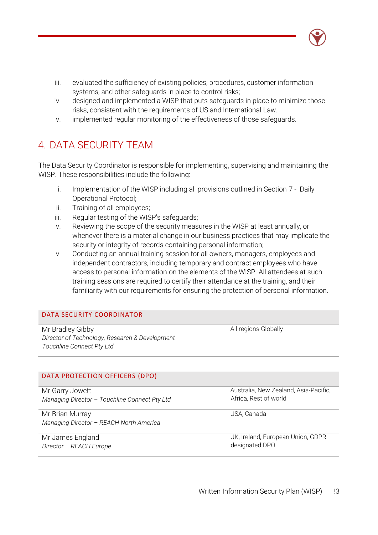- iii. evaluated the sufficiency of existing policies, procedures, customer information systems, and other safeguards in place to control risks;
- iv. designed and implemented a WISP that puts safeguards in place to minimize those risks, consistent with the requirements of US and International Law.
- v. implemented regular monitoring of the effectiveness of those safeguards.

### 4. DATA SECURITY TEAM

The Data Security Coordinator is responsible for implementing, supervising and maintaining the WISP. These responsibilities include the following:

- i. Implementation of the WISP including all provisions outlined in Section 7 Daily Operational Protocol;
- ii. Training of all employees;
- iii. Regular testing of the WISP's safeguards;
- iv. Reviewing the scope of the security measures in the WISP at least annually, or whenever there is a material change in our business practices that may implicate the security or integrity of records containing personal information;
- v. Conducting an annual training session for all owners, managers, employees and independent contractors, including temporary and contract employees who have access to personal information on the elements of the WISP. All attendees at such training sessions are required to certify their attendance at the training, and their familiarity with our requirements for ensuring the protection of personal information.

### DATA SECURITY COORDINATOR

Mr Bradley Gibby *Director of Technology, Research & Development Touchline Connect Pty Ltd*

DATA PROTECTION OFFICERS (DPO)

Mr Garry Jowett *Managing Director – Touchline Connect Pty Ltd*

Mr Brian Murray *Managing Director – REACH North America*

Mr James England *Director – REACH Europe* All regions Globally

Australia, New Zealand, Asia-Pacific, Africa, Rest of world

USA, Canada

UK, Ireland, European Union, GDPR designated DPO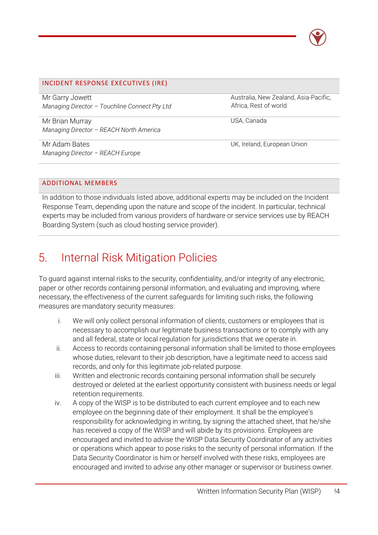

### INCIDENT RESPONSE EXECUTIVES (IRE)

Mr Garry Jowett *Managing Director – Touchline Connect Pty Ltd*

Mr Brian Murray *Managing Director – REACH North America*

Mr Adam Bates *Managing Director – REACH Europe* Australia, New Zealand, Asia-Pacific, Africa, Rest of world

USA, Canada

UK, Ireland, European Union

### ADDITIONAL MEMBERS

In addition to those individuals listed above, additional experts may be included on the Incident Response Team, depending upon the nature and scope of the incident. In particular, technical experts may be included from various providers of hardware or service services use by REACH Boarding System (such as cloud hosting service provider).

## 5. Internal Risk Mitigation Policies

To guard against internal risks to the security, confidentiality, and/or integrity of any electronic, paper or other records containing personal information, and evaluating and improving, where necessary, the effectiveness of the current safeguards for limiting such risks, the following measures are mandatory security measures:

- i. We will only collect personal information of clients, customers or employees that is necessary to accomplish our legitimate business transactions or to comply with any and all federal, state or local regulation for jurisdictions that we operate in.
- ii. Access to records containing personal information shall be limited to those employees whose duties, relevant to their job description, have a legitimate need to access said records, and only for this legitimate job-related purpose.
- iii. Written and electronic records containing personal information shall be securely destroyed or deleted at the earliest opportunity consistent with business needs or legal retention requirements.
- iv. A copy of the WISP is to be distributed to each current employee and to each new employee on the beginning date of their employment. It shall be the employee's responsibility for acknowledging in writing, by signing the attached sheet, that he/she has received a copy of the WISP and will abide by its provisions. Employees are encouraged and invited to advise the WISP Data Security Coordinator of any activities or operations which appear to pose risks to the security of personal information. If the Data Security Coordinator is him or herself involved with these risks, employees are encouraged and invited to advise any other manager or supervisor or business owner.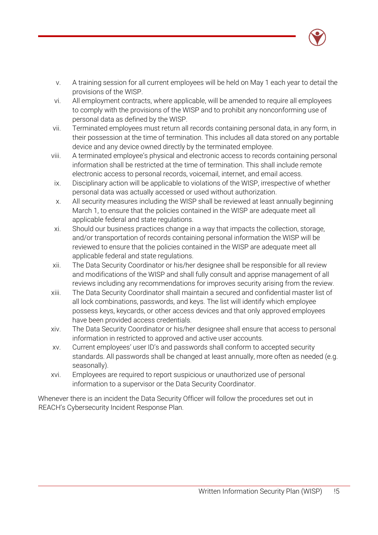

- v. A training session for all current employees will be held on May 1 each year to detail the provisions of the WISP.
- vi. All employment contracts, where applicable, will be amended to require all employees to comply with the provisions of the WISP and to prohibit any nonconforming use of personal data as defined by the WISP.
- vii. Terminated employees must return all records containing personal data, in any form, in their possession at the time of termination. This includes all data stored on any portable device and any device owned directly by the terminated employee.
- viii. A terminated employee's physical and electronic access to records containing personal information shall be restricted at the time of termination. This shall include remote electronic access to personal records, voicemail, internet, and email access.
- ix. Disciplinary action will be applicable to violations of the WISP, irrespective of whether personal data was actually accessed or used without authorization.
- x. All security measures including the WISP shall be reviewed at least annually beginning March 1, to ensure that the policies contained in the WISP are adequate meet all applicable federal and state regulations.
- xi. Should our business practices change in a way that impacts the collection, storage, and/or transportation of records containing personal information the WISP will be reviewed to ensure that the policies contained in the WISP are adequate meet all applicable federal and state regulations.
- xii. The Data Security Coordinator or his/her designee shall be responsible for all review and modifications of the WISP and shall fully consult and apprise management of all reviews including any recommendations for improves security arising from the review.
- xiii. The Data Security Coordinator shall maintain a secured and confidential master list of all lock combinations, passwords, and keys. The list will identify which employee possess keys, keycards, or other access devices and that only approved employees have been provided access credentials.
- xiv. The Data Security Coordinator or his/her designee shall ensure that access to personal information in restricted to approved and active user accounts.
- xv. Current employees' user ID's and passwords shall conform to accepted security standards. All passwords shall be changed at least annually, more often as needed (e.g. seasonally).
- xvi. Employees are required to report suspicious or unauthorized use of personal information to a supervisor or the Data Security Coordinator.

Whenever there is an incident the Data Security Officer will follow the procedures set out in REACH's Cybersecurity Incident Response Plan.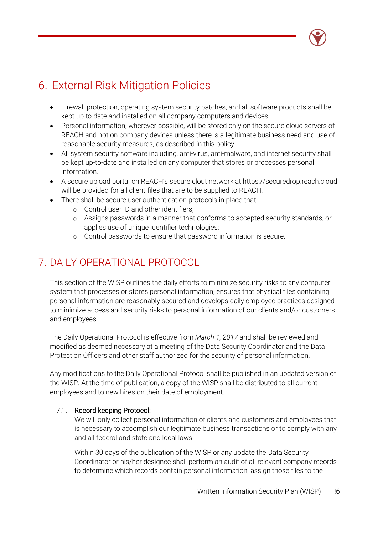## 6. External Risk Mitigation Policies

- Firewall protection, operating system security patches, and all software products shall be kept up to date and installed on all company computers and devices.
- Personal information, wherever possible, will be stored only on the secure cloud servers of REACH and not on company devices unless there is a legitimate business need and use of reasonable security measures, as described in this policy.
- All system security software including, anti-virus, anti-malware, and internet security shall be kept up-to-date and installed on any computer that stores or processes personal information.
- A secure upload portal on REACH's secure clout network at [https://securedrop.reach.cloud](https://securedrop.reach.cloud/) will be provided for all client files that are to be supplied to REACH.
- There shall be secure user authentication protocols in place that:
	- o Control user ID and other identifiers;
	- o Assigns passwords in a manner that conforms to accepted security standards, or applies use of unique identifier technologies;
	- o Control passwords to ensure that password information is secure.

### 7. DAILY OPERATIONAL PROTOCOL

This section of the WISP outlines the daily efforts to minimize security risks to any computer system that processes or stores personal information, ensures that physical files containing personal information are reasonably secured and develops daily employee practices designed to minimize access and security risks to personal information of our clients and/or customers and employees.

The Daily Operational Protocol is effective from *March 1, 2017* and shall be reviewed and modified as deemed necessary at a meeting of the Data Security Coordinator and the Data Protection Officers and other staff authorized for the security of personal information.

Any modifications to the Daily Operational Protocol shall be published in an updated version of the WISP. At the time of publication, a copy of the WISP shall be distributed to all current employees and to new hires on their date of employment.

### 7.1. Record keeping Protocol:

We will only collect personal information of clients and customers and employees that is necessary to accomplish our legitimate business transactions or to comply with any and all federal and state and local laws.

Within 30 days of the publication of the WISP or any update the Data Security Coordinator or his/her designee shall perform an audit of all relevant company records to determine which records contain personal information, assign those files to the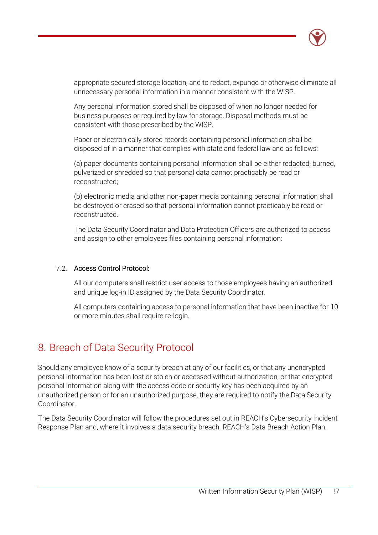

appropriate secured storage location, and to redact, expunge or otherwise eliminate all unnecessary personal information in a manner consistent with the WISP.

Any personal information stored shall be disposed of when no longer needed for business purposes or required by law for storage. Disposal methods must be consistent with those prescribed by the WISP.

Paper or electronically stored records containing personal information shall be disposed of in a manner that complies with state and federal law and as follows:

(a) paper documents containing personal information shall be either redacted, burned, pulverized or shredded so that personal data cannot practicably be read or reconstructed;

(b) electronic media and other non-paper media containing personal information shall be destroyed or erased so that personal information cannot practicably be read or reconstructed.

The Data Security Coordinator and Data Protection Officers are authorized to access and assign to other employees files containing personal information:

### 7.2. Access Control Protocol:

All our computers shall restrict user access to those employees having an authorized and unique log-in ID assigned by the Data Security Coordinator.

All computers containing access to personal information that have been inactive for 10 or more minutes shall require re-login.

### 8. Breach of Data Security Protocol

Should any employee know of a security breach at any of our facilities, or that any unencrypted personal information has been lost or stolen or accessed without authorization, or that encrypted personal information along with the access code or security key has been acquired by an unauthorized person or for an unauthorized purpose, they are required to notify the Data Security Coordinator.

The Data Security Coordinator will follow the procedures set out in REACH's Cybersecurity Incident Response Plan and, where it involves a data security breach, REACH's Data Breach Action Plan.